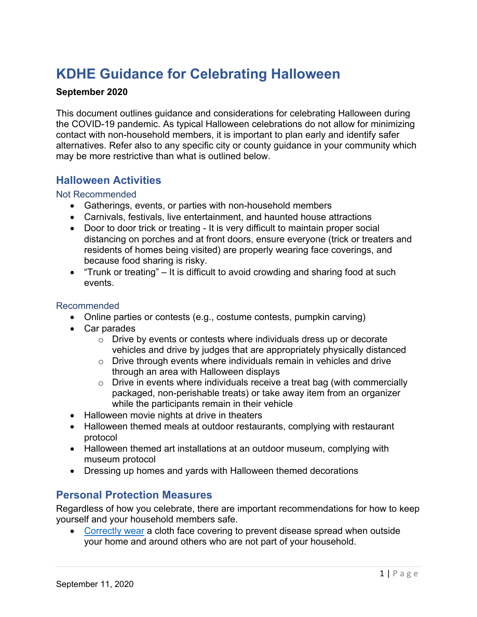# **KDHE Guidance for Celebrating Halloween**

#### **September 2020**

This document outlines guidance and considerations for celebrating Halloween during the COVID-19 pandemic. As typical Halloween celebrations do not allow for minimizing contact with non-household members, it is important to plan early and identify safer alternatives. Refer also to any specific city or county guidance in your community which may be more restrictive than what is outlined below.

### **Halloween Activities**

#### Not Recommended

- Gatherings, events, or parties with non-household members
- Carnivals, festivals, live entertainment, and haunted house attractions
- Door to door trick or treating It is very difficult to maintain proper social distancing on porches and at front doors, ensure everyone (trick or treaters and residents of homes being visited) are properly wearing face coverings, and because food sharing is risky.
- "Trunk or treating" It is difficult to avoid crowding and sharing food at such events.

#### Recommended

- Online parties or contests (e.g., costume contests, pumpkin carving)
- Car parades
	- $\circ$  Drive by events or contests where individuals dress up or decorate vehicles and drive by judges that are appropriately physically distanced
	- o Drive through events where individuals remain in vehicles and drive through an area with Halloween displays
	- o Drive in events where individuals receive a treat bag (with commercially packaged, non-perishable treats) or take away item from an organizer while the participants remain in their vehicle
- Halloween movie nights at drive in theaters
- Halloween themed meals at outdoor restaurants, complying with restaurant protocol
- Halloween themed art installations at an outdoor museum, complying with museum protocol
- Dressing up homes and yards with Halloween themed decorations

### **Personal Protection Measures**

Regardless of how you celebrate, there are important recommendations for how to keep yourself and your household members safe.

• [Correctly wear](https://www.coronavirus.kdheks.gov/DocumentCenter/View/441/Kansas_Homemade_Mask_Guidance-PDF---4-10-20) a cloth face covering to prevent disease spread when outside your home and around others who are not part of your household.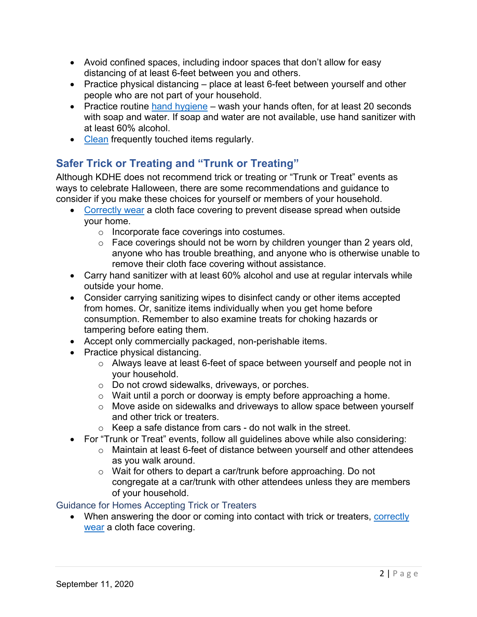- Avoid confined spaces, including indoor spaces that don't allow for easy distancing of at least 6-feet between you and others.
- Practice physical distancing place at least 6-feet between yourself and other people who are not part of your household.
- Practice routine [hand hygiene](https://www.cdc.gov/coronavirus/2019-ncov/global-covid-19/handwashing.html) wash your hands often, for at least 20 seconds with soap and water. If soap and water are not available, use hand sanitizer with at least 60% alcohol.
- [Clean](https://www.cdc.gov/coronavirus/2019-ncov/prevent-getting-sick/cleaning-disinfection.html) frequently touched items regularly.

# **Safer Trick or Treating and "Trunk or Treating"**

Although KDHE does not recommend trick or treating or "Trunk or Treat" events as ways to celebrate Halloween, there are some recommendations and guidance to consider if you make these choices for yourself or members of your household.

- [Correctly wear](https://www.coronavirus.kdheks.gov/DocumentCenter/View/441/Kansas_Homemade_Mask_Guidance-PDF---4-10-20) a cloth face covering to prevent disease spread when outside your home.
	- o Incorporate face coverings into costumes.
	- $\circ$  Face coverings should not be worn by children younger than 2 years old, anyone who has trouble breathing, and anyone who is otherwise unable to remove their cloth face covering without assistance.
- Carry hand sanitizer with at least 60% alcohol and use at regular intervals while outside your home.
- Consider carrying sanitizing wipes to disinfect candy or other items accepted from homes. Or, sanitize items individually when you get home before consumption. Remember to also examine treats for choking hazards or tampering before eating them.
- Accept only commercially packaged, non-perishable items.
- Practice physical distancing.
	- o Always leave at least 6-feet of space between yourself and people not in your household.
	- o Do not crowd sidewalks, driveways, or porches.
	- o Wait until a porch or doorway is empty before approaching a home.
	- o Move aside on sidewalks and driveways to allow space between yourself and other trick or treaters.
	- $\circ$  Keep a safe distance from cars do not walk in the street.
- For "Trunk or Treat" events, follow all guidelines above while also considering:
	- o Maintain at least 6-feet of distance between yourself and other attendees as you walk around.
	- o Wait for others to depart a car/trunk before approaching. Do not congregate at a car/trunk with other attendees unless they are members of your household.

### Guidance for Homes Accepting Trick or Treaters

• When answering the door or coming into contact with trick or treaters, correctly [wear](https://www.coronavirus.kdheks.gov/DocumentCenter/View/441/Kansas_Homemade_Mask_Guidance-PDF---4-10-20) a cloth face covering.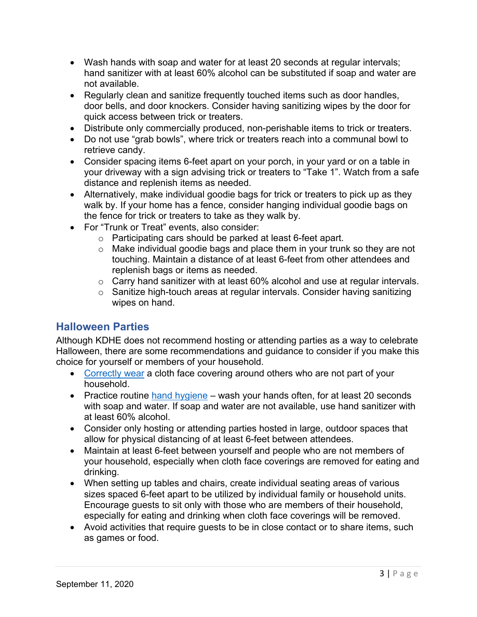- Wash hands with soap and water for at least 20 seconds at regular intervals; hand sanitizer with at least 60% alcohol can be substituted if soap and water are not available.
- Regularly clean and sanitize frequently touched items such as door handles, door bells, and door knockers. Consider having sanitizing wipes by the door for quick access between trick or treaters.
- Distribute only commercially produced, non-perishable items to trick or treaters.
- Do not use "grab bowls", where trick or treaters reach into a communal bowl to retrieve candy.
- Consider spacing items 6-feet apart on your porch, in your yard or on a table in your driveway with a sign advising trick or treaters to "Take 1". Watch from a safe distance and replenish items as needed.
- Alternatively, make individual goodie bags for trick or treaters to pick up as they walk by. If your home has a fence, consider hanging individual goodie bags on the fence for trick or treaters to take as they walk by.
- For "Trunk or Treat" events, also consider:
	- o Participating cars should be parked at least 6-feet apart.
	- o Make individual goodie bags and place them in your trunk so they are not touching. Maintain a distance of at least 6-feet from other attendees and replenish bags or items as needed.
	- o Carry hand sanitizer with at least 60% alcohol and use at regular intervals.
	- o Sanitize high-touch areas at regular intervals. Consider having sanitizing wipes on hand.

# **Halloween Parties**

Although KDHE does not recommend hosting or attending parties as a way to celebrate Halloween, there are some recommendations and guidance to consider if you make this choice for yourself or members of your household.

- [Correctly wear](https://www.coronavirus.kdheks.gov/DocumentCenter/View/441/Kansas_Homemade_Mask_Guidance-PDF---4-10-20) a cloth face covering around others who are not part of your household.
- Practice routine [hand hygiene](https://www.cdc.gov/coronavirus/2019-ncov/global-covid-19/handwashing.html) wash your hands often, for at least 20 seconds with soap and water. If soap and water are not available, use hand sanitizer with at least 60% alcohol.
- Consider only hosting or attending parties hosted in large, outdoor spaces that allow for physical distancing of at least 6-feet between attendees.
- Maintain at least 6-feet between yourself and people who are not members of your household, especially when cloth face coverings are removed for eating and drinking.
- When setting up tables and chairs, create individual seating areas of various sizes spaced 6-feet apart to be utilized by individual family or household units. Encourage guests to sit only with those who are members of their household, especially for eating and drinking when cloth face coverings will be removed.
- Avoid activities that require guests to be in close contact or to share items, such as games or food.